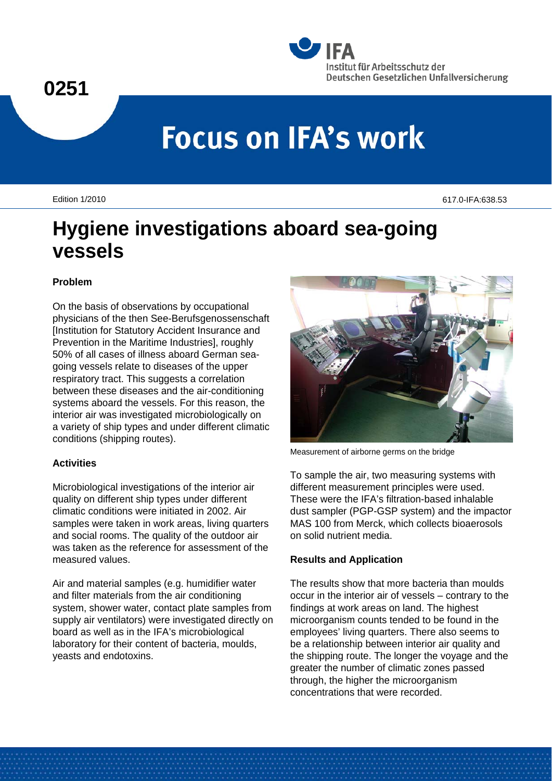# **0251**



# **Focus on IFA's work**

Edition 1/2010 617.0-IFA:638.53

# **Hygiene investigations aboard sea-going vessels**

# **Problem**

On the basis of observations by occupational physicians of the then See-Berufsgenossenschaft [Institution for Statutory Accident Insurance and Prevention in the Maritime Industries], roughly 50% of all cases of illness aboard German seagoing vessels relate to diseases of the upper respiratory tract. This suggests a correlation between these diseases and the air-conditioning systems aboard the vessels. For this reason, the interior air was investigated microbiologically on a variety of ship types and under different climatic conditions (shipping routes).

# **Activities**

Microbiological investigations of the interior air quality on different ship types under different climatic conditions were initiated in 2002. Air samples were taken in work areas, living quarters and social rooms. The quality of the outdoor air was taken as the reference for assessment of the measured values.

Air and material samples (e.g. humidifier water and filter materials from the air conditioning system, shower water, contact plate samples from supply air ventilators) were investigated directly on board as well as in the IFA's microbiological laboratory for their content of bacteria, moulds, yeasts and endotoxins.



Measurement of airborne germs on the bridge

To sample the air, two measuring systems with different measurement principles were used. These were the IFA's filtration-based inhalable dust sampler (PGP-GSP system) and the impactor MAS 100 from Merck, which collects bioaerosols on solid nutrient media.

# **Results and Application**

The results show that more bacteria than moulds occur in the interior air of vessels – contrary to the findings at work areas on land. The highest microorganism counts tended to be found in the employees' living quarters. There also seems to be a relationship between interior air quality and the shipping route. The longer the voyage and the greater the number of climatic zones passed through, the higher the microorganism concentrations that were recorded.